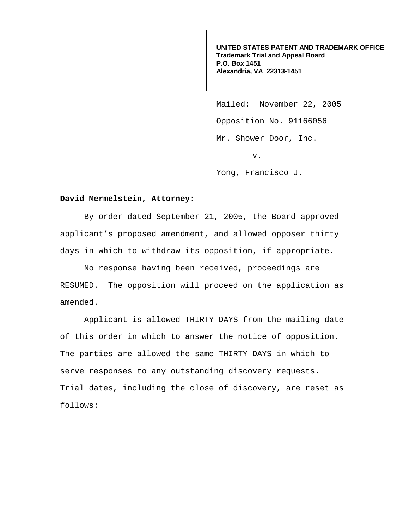**UNITED STATES PATENT AND TRADEMARK OFFICE Trademark Trial and Appeal Board P.O. Box 1451 Alexandria, VA 22313-1451**

Mailed: November 22, 2005 Opposition No. 91166056 Mr. Shower Door, Inc. v.

Yong, Francisco J.

## **David Mermelstein, Attorney:**

 By order dated September 21, 2005, the Board approved applicant's proposed amendment, and allowed opposer thirty days in which to withdraw its opposition, if appropriate.

 No response having been received, proceedings are RESUMED. The opposition will proceed on the application as amended.

Applicant is allowed THIRTY DAYS from the mailing date of this order in which to answer the notice of opposition. The parties are allowed the same THIRTY DAYS in which to serve responses to any outstanding discovery requests. Trial dates, including the close of discovery, are reset as follows: